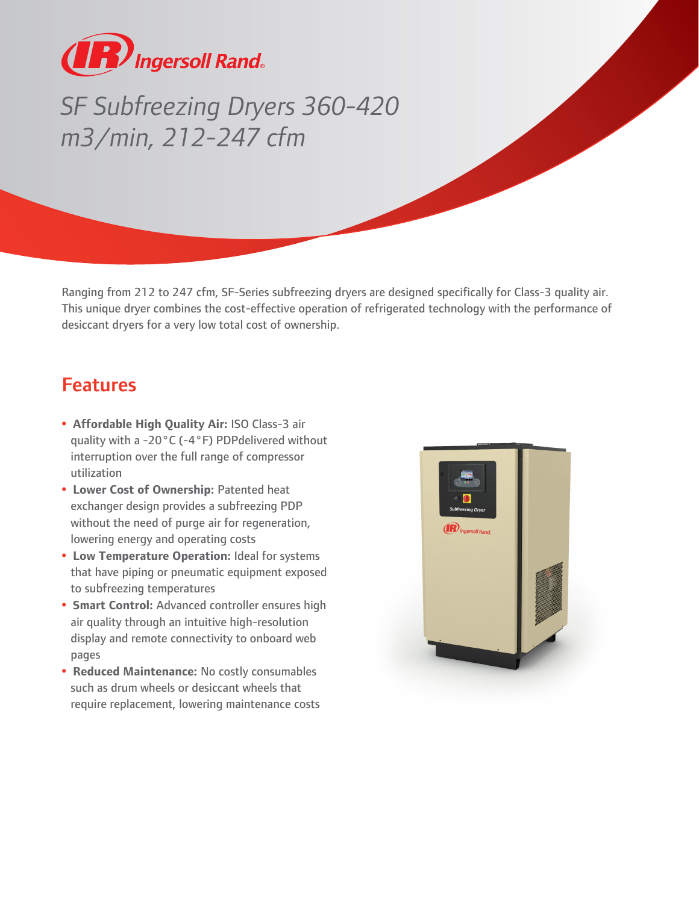

## *SF Subfreezing Dryers 360-420 m3/min, 212-247 cfm*

Ranging from 212 to 247 cfm, SF-Series subfreezing dryers are designed specifically for Class-3 quality air. This unique dryer combines the cost-effective operation of refrigerated technology with the performance of desiccant dryers for a very low total cost of ownership.

## Features

- **Affordable High Quality Air:** ISO Class-3 air quality with a -20°C (-4°F) PDPdelivered without interruption over the full range of compressor utilization
- **Lower Cost of Ownership:** Patented heat exchanger design provides a subfreezing PDP without the need of purge air for regeneration, lowering energy and operating costs
- **Low Temperature Operation:** Ideal for systems that have piping or pneumatic equipment exposed to subfreezing temperatures
- **Smart Control:** Advanced controller ensures high air quality through an intuitive high-resolution display and remote connectivity to onboard web pages
- **Reduced Maintenance:** No costly consumables such as drum wheels or desiccant wheels that require replacement, lowering maintenance costs